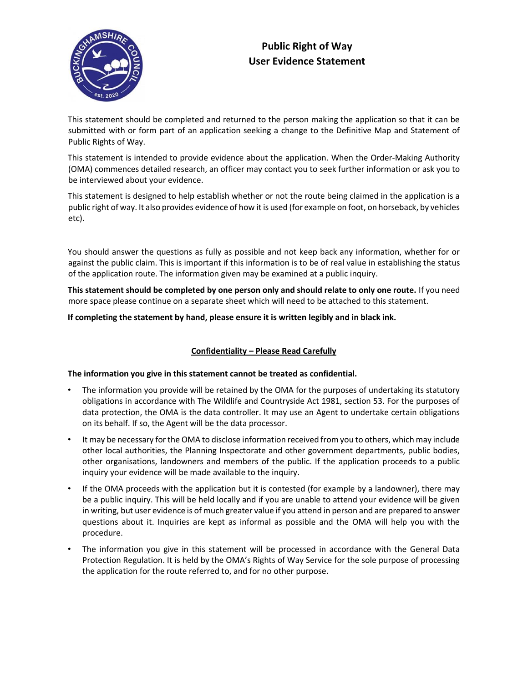



This statement should be completed and returned to the person making the application so that it can be submitted with or form part of an application seeking a change to the Definitive Map and Statement of Public Rights of Way.

This statement is intended to provide evidence about the application. When the Order‐Making Authority (OMA) commences detailed research, an officer may contact you to seek further information or ask you to be interviewed about your evidence.

This statement is designed to help establish whether or not the route being claimed in the application is a public right of way. It also provides evidence of how it is used (for example on foot, on horseback, by vehicles etc).

You should answer the questions as fully as possible and not keep back any information, whether for or against the public claim. This is important if this information is to be of real value in establishing the status of the application route. The information given may be examined at a public inquiry.

**This statement should be completed by one person only and should relate to only one route.** If you need more space please continue on a separate sheet which will need to be attached to this statement.

**If completing the statement by hand, please ensure it is written legibly and in black ink.** 

# **Confidentiality – Please Read Carefully**

### **The information you give in this statement cannot be treated as confidential.**

- The information you provide will be retained by the OMA for the purposes of undertaking its statutory obligations in accordance with The Wildlife and Countryside Act 1981, section 53. For the purposes of data protection, the OMA is the data controller. It may use an Agent to undertake certain obligations on its behalf. If so, the Agent will be the data processor.
- It may be necessary for the OMA to disclose information received from you to others, which may include other local authorities, the Planning Inspectorate and other government departments, public bodies, other organisations, landowners and members of the public. If the application proceeds to a public inquiry your evidence will be made available to the inquiry.
- If the OMA proceeds with the application but it is contested (for example by a landowner), there may be a public inquiry. This will be held locally and if you are unable to attend your evidence will be given in writing, but user evidence is of much greater value if you attend in person and are prepared to answer questions about it. Inquiries are kept as informal as possible and the OMA will help you with the procedure.
- The information you give in this statement will be processed in accordance with the General Data Protection Regulation. It is held by the OMA's Rights of Way Service for the sole purpose of processing the application for the route referred to, and for no other purpose.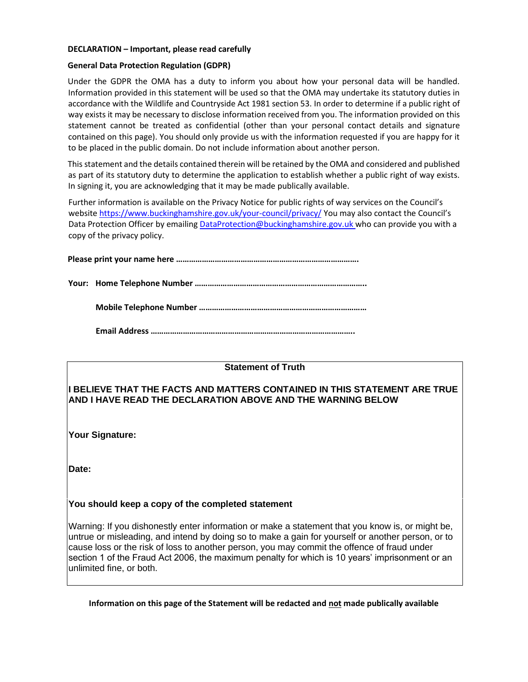#### **DECLARATION – Important, please read carefully**

#### **General Data Protection Regulation (GDPR)**

Under the GDPR the OMA has a duty to inform you about how your personal data will be handled. Information provided in this statement will be used so that the OMA may undertake its statutory duties in accordance with the Wildlife and Countryside Act 1981 section 53. In order to determine if a public right of way exists it may be necessary to disclose information received from you. The information provided on this statement cannot be treated as confidential (other than your personal contact details and signature contained on this page). You should only provide us with the information requested if you are happy for it to be placed in the public domain. Do not include information about another person.

This statement and the details contained therein will be retained by the OMA and considered and published as part of its statutory duty to determine the application to establish whether a public right of way exists. In signing it, you are acknowledging that it may be made publically available.

Further information is available on the Privacy Notice for public rights of way services on the Council's website https://www.buckinghamshire.gov.uk/your-council/privacy/ You may also contact the Council's Data Protection Officer by emailing DataProtection@buckinghamshire.gov.uk who can provide you with a copy of the privacy policy.

**Please print your name here ………………………………………………………………………….** 

**Your: Home Telephone Number ……………………………………………………………………..** 

**Mobile Telephone Number ……………………………………………………………………** 

**Email Address …………………………………………………………………………………..** 

### **Statement of Truth**

# **I BELIEVE THAT THE FACTS AND MATTERS CONTAINED IN THIS STATEMENT ARE TRUE AND I HAVE READ THE DECLARATION ABOVE AND THE WARNING BELOW**

**Your Signature:** 

**Date:** 

### **You should keep a copy of the completed statement**

Warning: If you dishonestly enter information or make a statement that you know is, or might be, untrue or misleading, and intend by doing so to make a gain for yourself or another person, or to cause loss or the risk of loss to another person, you may commit the offence of fraud under section 1 of the Fraud Act 2006, the maximum penalty for which is 10 years' imprisonment or an unlimited fine, or both.

**Information on this page of the Statement will be redacted and not made publically available**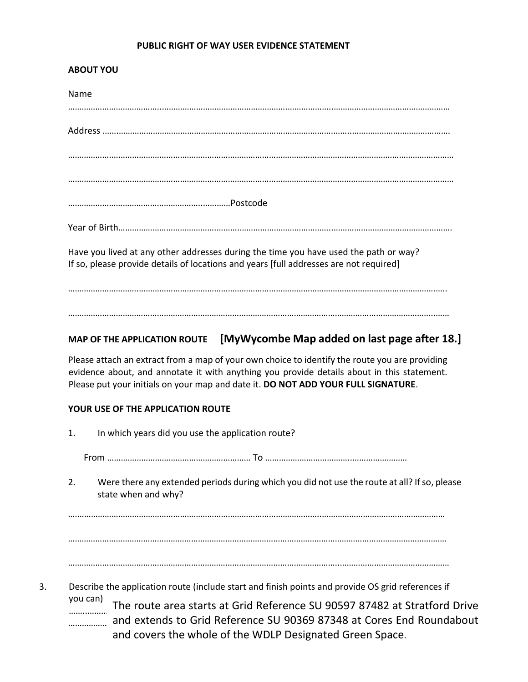# **PUBLIC RIGHT OF WAY USER EVIDENCE STATEMENT**

# **ABOUT YOU**  Name …………………………………..……………………………………………….………………..…………………………………………… Address …….………………………………………………………………………………….……..……………………………………. ……………….…………………………………………………………………………………………………………………………………… …………………….……………………………………………………………………………………………………………………………… …………………………………………………..…………Postcode Year of Birth…………………………………….……….…………………………………..……………………………………………. Have you lived at any other addresses during the time you have used the path or way? If so, please provide details of locations and years [full addresses are not required] ………………………….………………………………………………………………………………………………………………….…..

# **MAP OF THE APPLICATION ROUTE [MyWycombe Map added on last page after 18.]**

……………………………………………………………………………………………………………………………………………..……

Please attach an extract from a map of your own choice to identify the route you are providing evidence about, and annotate it with anything you provide details about in this statement. Please put your initials on your map and date it. **DO NOT ADD YOUR FULL SIGNATURE**.

# **YOUR USE OF THE APPLICATION ROUTE**

|    | 1.       | In which years did you use the application route?                                                                                                                                                |
|----|----------|--------------------------------------------------------------------------------------------------------------------------------------------------------------------------------------------------|
|    |          |                                                                                                                                                                                                  |
|    | 2.       | Were there any extended periods during which you did not use the route at all? If so, please<br>state when and why?                                                                              |
|    |          |                                                                                                                                                                                                  |
|    |          |                                                                                                                                                                                                  |
|    |          |                                                                                                                                                                                                  |
| 3. | you can) | Describe the application route (include start and finish points and provide OS grid references if<br>The route area starts at Grid Reference SU 90597 87482 at Stratford Drive<br>$\blacksquare$ |

………………………………………………………………………………………………..………………………………………………… and extends to Grid Reference SU 90369 87348 at Cores End Roundabout and covers the whole of the WDLP Designated Green Space.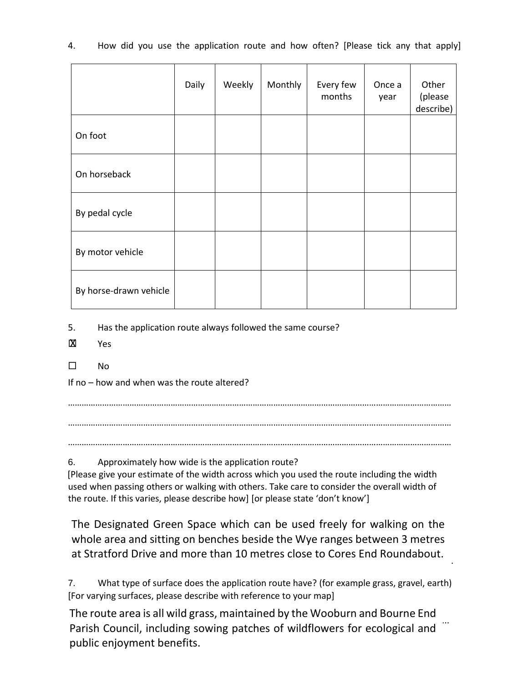| 4. |  |  |  | How did you use the application route and how often? [Please tick any that apply] |  |  |  |  |  |  |  |
|----|--|--|--|-----------------------------------------------------------------------------------|--|--|--|--|--|--|--|
|----|--|--|--|-----------------------------------------------------------------------------------|--|--|--|--|--|--|--|

|                        | Daily | Weekly | Monthly | Every few<br>months | Once a<br>year | Other<br>(please<br>describe) |
|------------------------|-------|--------|---------|---------------------|----------------|-------------------------------|
| On foot                |       |        |         |                     |                |                               |
| On horseback           |       |        |         |                     |                |                               |
| By pedal cycle         |       |        |         |                     |                |                               |
| By motor vehicle       |       |        |         |                     |                |                               |
| By horse-drawn vehicle |       |        |         |                     |                |                               |

5. Has the application route always followed the same course?

- Yes X
- $\square$  No

If no – how and when was the route altered?

……………………………………………………………………………………………………………………………………………………

……………………………………………………………………………………………………………………………………………………

……………………………………………………………………………………………………………………………………………………

6. Approximately how wide is the application route?

[Please give your estimate of the width across which you used the route including the width used when passing others or walking with others. Take care to consider the overall width of the route. If this varies, please describe how] [or please state 'don't know']

The Designated Green Space which can be used freely for walking on the whole area and sitting on benches beside the Wye ranges between 3 metres at Stratford Drive and more than 10 metres close to Cores End Roundabout.

7. What type of surface does the application route have? (for example grass, gravel, earth) [For varying surfaces, please describe with reference to your map]

………………………………………………………………………………………………………………………………………………….. The route area is all wild grass, maintained by the Wooburn and Bourne End Parish Council, including sowing patches of wildflowers for ecological and public enjoyment benefits.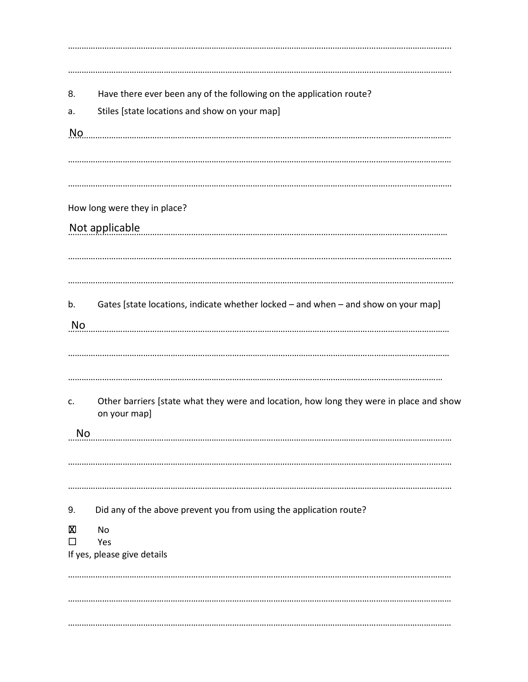8. Have there ever been any of the following on the application route? Stiles [state locations and show on your map]  $a.$ <u>No superior communication communication communication communication communication communication</u> How long were they in place? Not applicable  $b<sub>1</sub>$ Gates [state locations, indicate whether locked – and when – and show on your map] <u>No established allows the contract of the contract of the contract of the contract of the contract of the contract of the contract of the contract of the contract of the contract of the contract of the contract of the con</u> Other barriers [state what they were and location, how long they were in place and show c. on your map] 9. Did any of the above prevent you from using the application route? **X No**  $\Box$ Yes If yes, please give details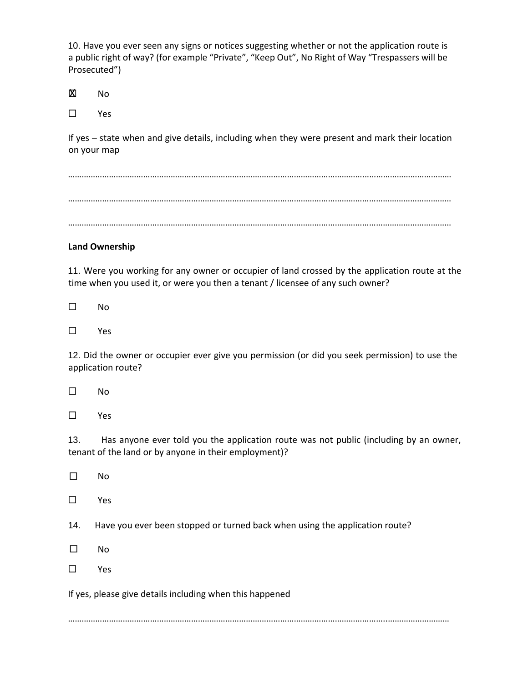10. Have you ever seen any signs or notices suggesting whether or not the application route is a public right of way? (for example "Private", "Keep Out", No Right of Way "Trespassers will be Prosecuted")

 No **X** 

Yes

If yes – state when and give details, including when they were present and mark their location on your map

…………………………………………………………………………………………………………………………………………………… …………………………………………………………………………………………………………………………………………………… ……………………………………………………………………………………………………………………………………………………

# **Land Ownership**

11. Were you working for any owner or occupier of land crossed by the application route at the time when you used it, or were you then a tenant / licensee of any such owner?

 $\square$  No

Yes

12. Did the owner or occupier ever give you permission (or did you seek permission) to use the application route?

No  $\Box$ 

Yes

13. Has anyone ever told you the application route was not public (including by an owner, tenant of the land or by anyone in their employment)?

No  $\Box$ 

Yes

14. Have you ever been stopped or turned back when using the application route?

No  $\Box$ 

Yes

If yes, please give details including when this happened

…………………………………………………………………………………………………………………………..………………………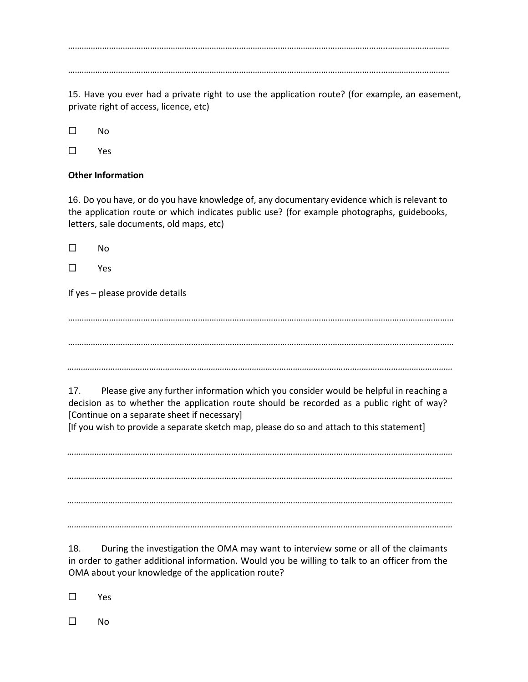…………………………………………………………………………………………………………………………..………………………

………………………………………………………………………………………………………………………..…………………………

15. Have you ever had a private right to use the application route? (for example, an easement, private right of access, licence, etc)

 $\square$  No

Yes

# **Other Information**

16. Do you have, or do you have knowledge of, any documentary evidence which is relevant to the application route or which indicates public use? (for example photographs, guidebooks, letters, sale documents, old maps, etc)

 $\square$  No

Yes

If yes – please provide details

……………………………………………………………………………………………………….…………………………………………… …………………………………………………………………………………………………….………………………………………………

*………………………………………………………………………………………………….…………………………………………………*

17. Please give any further information which you consider would be helpful in reaching a decision as to whether the application route should be recorded as a public right of way? [Continue on a separate sheet if necessary]

[If you wish to provide a separate sketch map, please do so and attach to this statement]

*………………………………………………………………………………………………….…………………………………………………* 

*………………………………………………………………………………………………….………………………………………………… ………………………………………………………………………………………………….…………………………………………………*

*………………………………………………………………………………………………….…………………………………………………*

18. During the investigation the OMA may want to interview some or all of the claimants in order to gather additional information. Would you be willing to talk to an officer from the OMA about your knowledge of the application route?

Yes

 $\square$  No